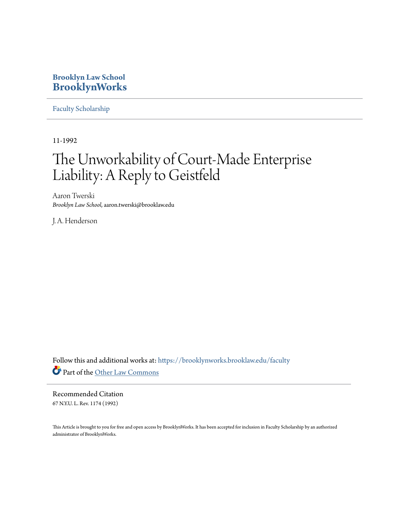## **Brooklyn Law School [BrooklynWorks](https://brooklynworks.brooklaw.edu?utm_source=brooklynworks.brooklaw.edu%2Ffaculty%2F693&utm_medium=PDF&utm_campaign=PDFCoverPages)**

[Faculty Scholarship](https://brooklynworks.brooklaw.edu/faculty?utm_source=brooklynworks.brooklaw.edu%2Ffaculty%2F693&utm_medium=PDF&utm_campaign=PDFCoverPages)

11-1992

# The Unworkability of Court-Made Enterprise Liability: A Reply to Geistfeld

Aaron Twerski *Brooklyn Law School*, aaron.twerski@brooklaw.edu

J. A. Henderson

Follow this and additional works at: [https://brooklynworks.brooklaw.edu/faculty](https://brooklynworks.brooklaw.edu/faculty?utm_source=brooklynworks.brooklaw.edu%2Ffaculty%2F693&utm_medium=PDF&utm_campaign=PDFCoverPages) Part of the [Other Law Commons](http://network.bepress.com/hgg/discipline/621?utm_source=brooklynworks.brooklaw.edu%2Ffaculty%2F693&utm_medium=PDF&utm_campaign=PDFCoverPages)

Recommended Citation 67 N.Y.U. L. Rev. 1174 (1992)

This Article is brought to you for free and open access by BrooklynWorks. It has been accepted for inclusion in Faculty Scholarship by an authorized administrator of BrooklynWorks.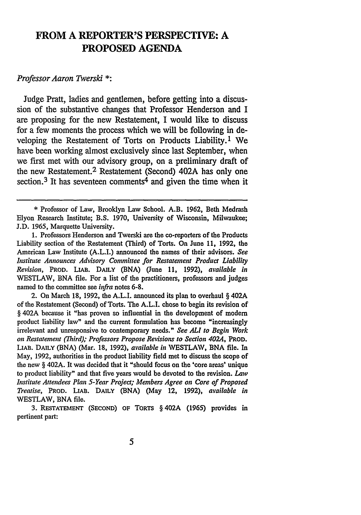# **FROM A REPORTER'S PERSPECTIVE: A PROPOSED AGENDA**

## *Professor Aaron Twerski* **\*:**

Judge Pratt, ladies and gentlemen, before getting into a discussion of the substantive changes that Professor Henderson and I are proposing for the new Restatement, I would like to discuss for a few moments the process which we will be following in developing the Restatement of Torts on Products Liability.<sup>1</sup> We have been working almost exclusively since last September, when we first met with our advisory group, on a preliminary draft of the new Restatement.<sup>2</sup> Restatement (Second) 402A has only one section.<sup>3</sup> It has seventeen comments<sup>4</sup> and given the time when it

2. On March 18, 1992, the A.L.I. announced its plan to overhaul **§** 402A of the Restatement (Second) of Torts. The A.L.I. chose to begin its revision of § 402A because it "has proven so influential in the development of modem product liability law" and the current formulation has become "increasingly irrelevant and unresponsive to contemporary needs." *See ALl to Begin Work on Restatement (Third); Professors Propose Revisions to Section 4024,* **PROD. LIAB. DAILY (BNA)** (Mar. 18, 1992), *available in* WESTLAW, BNA file. In May, 1992, authorities in the product liability field met to discuss the scope of the new **§** 402A. It was decided that it "should focus on the 'core areas' unique to product liability" and that five years would be devoted to the revision. Law *Institute Attendees Plan 5-Year Project; Members Agree on Core of Proposed Treatise,* PROD. **LIAB. DAILY** (BNA) (May 12, 1992), *available in* WESTLAW, BNA file.

**<sup>\*</sup>** Professor of Law, Brooklyn Law School. A.B. **1962,** Beth Medrash Elyon Research Institute; B.S. 1970, University of Wisconsin, Milwaukee; J.D. 1965, Marquette University.

**<sup>1.</sup>** Professors Henderson and Twerski are the co-reporters of the Products Liability section of the Restatement (Third) of Torts. On June 11, 1992, the American Law Institute (A.L.I.) announced the names of their advisors. *See Institute Announces Advisory Committee for Restatement Product Liability Revision,* **PROD. LIAB. DAILY (BNA)** (June 11, 1992), *available in* WESTLAW, **BNA** file. For a list of the practitioners, professors and judges named to the committee see *infra* notes 6-8.

<sup>3.</sup> **RESTATEMENT (SECOND)** OF TORTS § 402A (1965) provides in pertinent part: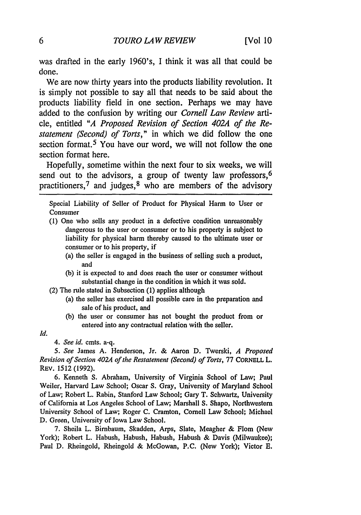was drafted in the early 1960's, I think it was all that could **be** done.

We are now thirty years into the products liability revolution. It is simply not possible to say all that needs to be said about the products liability field in one section. Perhaps we may have added to the confusion **by** writing our *Cornell Law Review arti*cle, entitled *"A Proposed Revision of Section 402A of the Restatement (Second) of Torts,"* in which we did follow the one section format.<sup>5</sup> You have our word, we will not follow the one section format here.

Hopefully, sometime within the next four to six weeks, we will send out to the advisors, a group of twenty law professors,<sup>6</sup> practitioners,<sup>7</sup> and judges,<sup>8</sup> who are members of the advisory

Special Liability of Seller of Product for Physical Harm to User or Consumer

- (1) One who sells any product in a defective condition unreasonably dangerous to the user or consumer or to his property is subject to liability for physical harm thereby caused to the ultimate user or consumer or to his property, if
	- (a) the seller is engaged in the business of selling such a product, and
	- (b) it is expected to and does reach the user or consumer without substantial change in the condition in which it was sold.
- (2) The rule stated in Subsection (1) applies although
	- (a) the seller has exercised all possible care in the preparation and sale of his product, and
	- (b) the user or consumer has not bought the product from or entered into any contractual relation with the seller.
- *Id.*

*4. See id.* cmts. a-q.

*5. See* James A. Henderson, Jr. & Aaron D. Twerski, *A Proposed Revision of Section 402A of the Restatement (Second) of Torts,* 77 CORNELL L. REv. 1512 (1992).

6. Kenneth S. Abraham, University of Virginia School of Law; Paul Weiler, Harvard Law School; Oscar S. Gray, University of Maryland School of Law; Robert L. Rabin, Stanford Law School; Gary T. Schwartz, University of California at Los Angeles School of Law; Marshall S. Shapo, Northwestern University School of Law; Roger C. Cramton, Cornell Law School; Michael D. Green, University of Iowa Law School.

7. Sheila L. Birnbaum, Skadden, Arps, Slate, Meagher & Flom (New York); Robert L. Habush, Habush, Habush, Habush & Davis (Milwaukee); Paul D. Rheingold, Rheingold & McGowan, P.C. (New York); Victor E.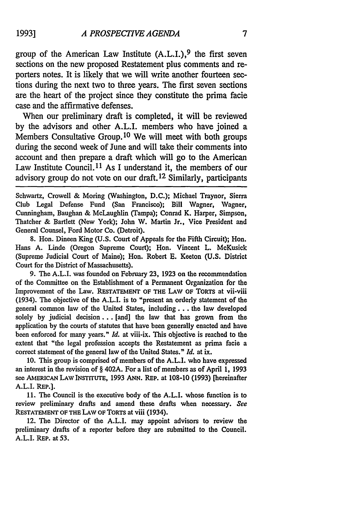group of the American Law Institute  $(A.L.I.)$ , <sup>9</sup> the first seven sections on the new proposed Restatement plus comments and reporters notes. It is likely that we will write another fourteen sections during the next two to three years. The first seven sections are the heart of the project since they constitute the prima facie case and the affirmative defenses.

When our preliminary draft is completed, it will be reviewed by the advisors and other A.L.I. members who have joined a Members Consultative Group. 10 We will meet with both groups during the second week of June and will take their comments into account and then prepare a draft which will go to the American Law Institute Council.<sup>11</sup> As I understand it, the members of our advisory group do not vote on our draft. 12 Similarly, participants

Schwartz, Crowell & Moring (Washington, D.C.); Michael Traynor, Sierra Club Legal Defense Fund (San Francisco); Bill Wagner, Wagner, Cunningham, Baughan & McLaughlin (Tampa); Conrad K. Harper, Simpson, Thatcher & Bartlett (New York); John W. Martin Jr., Vice President and General Counsel, Ford Motor **Co.** (Detroit).

8. Hon. Dineen King (U.S. Court of Appeals for the Fifth Circuit); Hon. Hans A. Linde (Oregon Supreme Court); Hon. Vincent L. McKusick (Supreme Judicial Court of Maine); Hon. Robert **E.** Keeton (U.S. District Court for the District of Massachusetts).

9. The A.L.I. was founded on February **23,** 1923 on the recommendation of the Committee on the Establishment of a Permanent Organization for the Improvement of the Law. **RESTATEMENT OF THE** LAw **OF TORTS** at vii-viii (1934). The objective of the A.L.I. is to "present an orderly statement of the general common law of the United States, including.. **.** the law developed solely by judicial decision... [and] the law that has grown from the application by the courts of statutes that have been generally enacted and have been enforced for many years." *Id.* at viii-ix. This objective is reached to the extent that "the legal profession accepts the Restatement as prima facie a correct statement of the general law of the United States." *Id.* at ix.

10. This group is comprised of members of the A.L.I. who have expressed an interest in the revision of § 402A. For a list of members as of April **1,** 1993 see AMERICAN LAW INSTITUTE, 1993 ANN. REP. at 108-10 (1993) [hereinafter A.L.I. REP.].

11. The Council is the executive body of the A.L.I. whose function is to review preliminary drafts and amend these drafts when necessary. See RESTATEMENT OF THE LAW OF TORTS at viii (1934).

12. The Director of the A.L.I. may appoint advisors to review the preliminary drafts of a reporter before they are submitted to the Council. A.L.I. REP. at 53.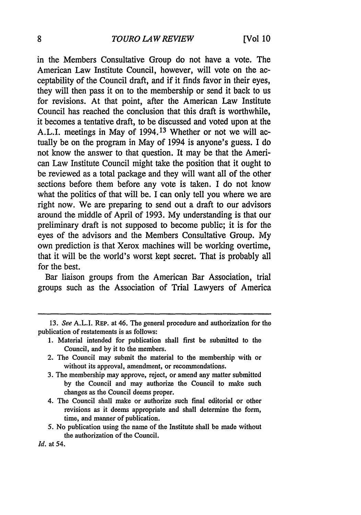### *TOURO LAW REVIEW*

in the Members Consultative Group do not have a vote. The American Law Institute Council, however, will vote on the acceptability of the Council draft, and if it finds favor in their eyes, they will then pass it on to the membership or send it back to us for revisions. At that point, after the American Law Institute Council has reached the conclusion that this draft is worthwhile, it becomes a tentative draft, to be discussed and voted upon at the A.L.I. meetings in May of 1994.13 Whether or not we will actually be on the program in May of 1994 is anyone's guess. I do not know the answer to that question. It may be that the American Law Institute Council might take the position that it ought to be reviewed as a total package and they will want all of the other sections before them before any vote is taken. I do not know what the politics of that will be. I can only tell you where we are right now. We are preparing to send out a draft to our advisors around the middle of April of 1993. My understanding is that our preliminary draft is not supposed to become public; it is for the eyes of the advisors and the Members Consultative Group. My own prediction is that Xerox machines will be working overtime, that it will be the world's worst kept secret. That is probably all for the best.

Bar liaison groups from the American Bar Association, trial groups such as the Association of Trial Lawyers of America

- 1. Material intended for publication shall first be submitted to the Council, and by it to the members.
- 2. The Council may submit the material to the membership with or without its approval, amendment, or recommendations.
- 3. The membership may approve, reject, or amend any matter submitted by the Council and may authorize the Council to make such changes as the Council deems proper.
- 4. The Council shall make or authorize such final editorial or other revisions as it deems appropriate and shall determine the form, time, and manner of publication.
- 5. No publication using the name of the Institute shall be made without the authorization of the Council.

<sup>13.</sup> See A.L.I. REP. at 46. The general procedure and authorization for the publication of restatements is as follows:

*Id.* at 54.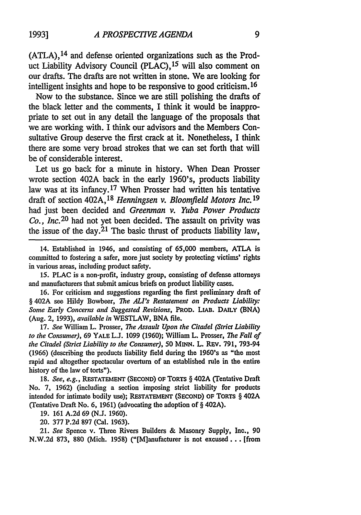9

**(ATLA), <sup>14</sup>**and defense oriented organizations such as the Product Liability Advisory Council (PLAC), 15 will also comment on our drafts. The drafts are not written in stone. We are looking for intelligent insights and hope to be responsive to good criticism. 16

Now to the substance. Since we are still polishing the drafts of the black letter and the comments, I think it would be inappropriate to set out in any detail the language of the proposals that we are working with. I think our advisors and the Members Consultative Group deserve the first crack at it. Nonetheless, I think there are some very broad strokes that we can set forth that will be of considerable interest.

Let us go back for a minute in history. When Dean Prosser wrote section 402A back in the early 1960's, products liability law was at its infancy.<sup>17</sup> When Prosser had written his tentative draft of section 402A, <sup>18</sup> Henningsen v. Bloomfield Motors Inc. <sup>19</sup> had just been decided and *Greenman v. Yuba Power Products Co.,* Inc.20 had not yet been decided. The assault on privity was the issue of the day.<sup>21</sup> The basic thrust of products liability law,

14. Established in 1946, and consisting of **65,000** members, ATLA is committed to fostering a safer, more just society by protecting victims' rights in various areas, including product safety.

15. PLAC is a non-profit, industry group, consisting of defense attorneys and manufacturers that submit amicus briefs on product liability cases.

16. For criticism and suggestions regarding the first preliminary draft of § 402A see Hildy Bowbeer, *The ALl's Restatement on Products Liability:* Some *Early Concerns and Suggested Revisions,* PROD. **LIAB.** DAILY **(BNA)** (Aug. 2, 1993), *available in* WESTLAW, BNA file.

17. *See* William L. Prosser, *The Assault Upon the Citadel (Strict Liability to the Consumer),* 69 YALE L.J. 1099 (1960); William L. Prosser, *The Fall of the Citadel (Strict Liability to the Consumer),* 50 **MINN.** L. REv. 791, 793-94 (1966) (describing the products liability field during the 1960's as "the most rapid and altogether spectacular overturn of an established rule in the entire history of the law of torts").

**18.** *See, e.g.,* **RESTATEMENT (SECOND) OF** TORTS § **402A (Tentative Draft** No. 7, 1962) (including a section imposing strict liability for products intended for intimate bodily use); **RESTATEMENT** (SECOND) OF TORTS § 402A (Tentative Draft No. 6, 1961) (advocating the adoption of § 402A).

19. 161 A.2d 69 (N.J. 1960).

20. 377 P.2d 897 (Cal. 1963).

21. See Spence v. Three Rivers Builders & Masonry Supply, Inc., **90** N.W.2d 873, 880 (Mich. 1958) ("[M]anufacturer is not excused... [from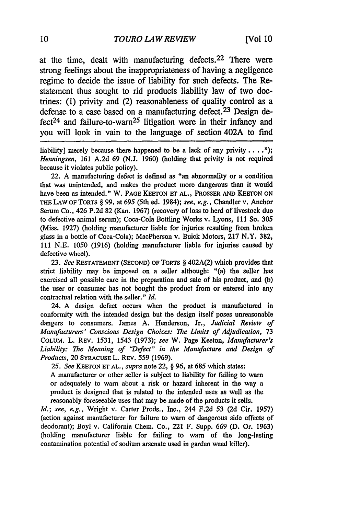at the time, dealt with manufacturing defects.<sup>22</sup> There were strong feelings about the inappropriateness of having a negligence regime to decide the issue of liability for such defects. The Restatement thus sought to rid products liability law of two doctrines: **(1)** privity and (2) reasonableness of quality control as a defense to a case based on a manufacturing defect.<sup>23</sup> Design de $fect<sup>24</sup>$  and failure-to-warn<sup>25</sup> litigation were in their infancy and you will look in vain to the language of section 402A to find

liability] merely because there happened to be a lack of any privity . . . ."); *Henningsen,* 161 A.2d 69 (N.J. 1960) (holding that privity is not required because it violates public policy).

22. A manufacturing defect is defined as "an abnormality or a condition that was unintended, and makes the product more dangerous than it would have been as intended." W. **PAGE KEETON ET AL., PROSSER AND KEETON ON** THE LAW OF TORTS § 99, at 695 (5th ed. 1984); *see, e.g.,* Chandler v. Anchor Serum Co., 426 P.2d 82 (Kan. 1967) (recovery of loss to herd of livestock due to defective animal serum); Coca-Cola Bottling Works v. Lyons, 111 So. *305* (Miss. 1927) (holding manufacturer liable for injuries resulting from broken glass in a bottle of Coca-Cola); MacPherson v. Buick Motors, **217** N.Y. 382, 111 N.E. 1050 (1916) (holding manufacturer liable for injuries caused **by** defective wheel).

**23.** *See* RESTATEMENT **(SECOND) OF** TORTS § 402A(2) which provides that strict liability may be imposed on a seller although: "(a) the seller has exercised all possible care in the preparation and sale of his product, and (b) the user or consumer has not bought the product from or entered into any contractual relation with the seller." *Id.*

24. A design defect occurs when the product is manufactured in conformity with the intended design but the design itself poses unreasonable dangers to consumers. James **A.** Henderson, Jr., *Judicial Review of Manufacturers'* Conscious Design Choices: *The* Limits of Adjudication, **73 COLUM.** L. REV. 1531, 1543 (1973); see W. Page Keeton, Manufacturer's *Liability: The* Meaning of *"Defect"* in the Manufacture and Design of *Products,* 20 SYRACUSE L. **REV.** 559 **(1969).**

*25. See* KEETON **ET AL.,** *supra* note 22, § 96, at 685 which states:

A manufacturer or other seller is subject to liability for failing to warn or adequately to warn about a risk or hazard inherent in the way a product is designed that is related to the intended uses as well as the reasonably foreseeable uses that may be made of the products it sells.

*Id.; see, e.g.,* Wright v. Carter Prods., Inc., 244 F.2d 53 (2d Cir. 1957) (action against manufacturer for failure to warn of dangerous side effects of deodorant); Boyl v. California Chem. Co., 221 F. Supp. 669 (D. Or. 1963) (holding manufacturer liable for failing to warn of the long-lasting contamination potential of sodium arsenate used in garden weed killer).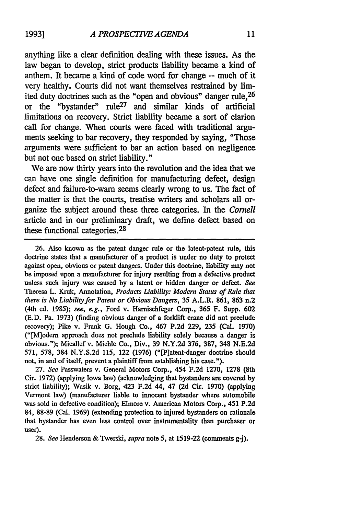anything like a clear definition dealing with these issues. As the law began to develop, strict products liability became a **kind** of anthem. It became a **kind** of code word for change **-** much of it very healthy. Courts did not want themselves restrained **by** limited duty doctrines such as the "open and obvious" danger rule, <sup>26</sup> or the "bystander" rule27 and similar kinds of artificial limitations on recovery. Strict liability became a sort of clarion call for change. When courts were faced with traditional arguments seeking to bar recovery, they responded by saying, "Those arguments were sufficient to bar an action based on negligence but not one based on strict liability."

We are now thirty years into the revolution and the idea that we can have one single definition for manufacturing defect, design defect and failure-to-warn seems clearly wrong to us. The fact of the matter is that the courts, treatise writers and scholars all organize the subject around these three categories. In the *Cornell* article and in our preliminary draft, we define defect based on these functional categories. <sup>28</sup>

**26.** Also known as the patent danger rule or the latent-patent rule, this doctrine states that a manufacturer of a product is under no duty to protect against open, obvious or patent dangers. Under this doctrine, liability may not be imposed upon a manufacturer for injury resulting from a defective product unless such injury was caused by a latent or hidden danger or defect. *See* Theresa L. Kruk, Annotation, *Products Liability: Modern Status of Rule that there is No Liability for Patent or Obvious Dangers,* 35 A.L.R. 861, **863** n.2 (4th ed. 1985); *see, e.g.,* Ford v. Hamischfeger Corp., **365** F. Supp. 602 (E.D. Pa. 1973) (finding obvious danger of a forklift crane did not preclude recovery); Pike v. Frank G. Hough Co., 467 P.2d 229, 235 (Cal. 1970) ("[M]odem approach does not preclude liability solely because a danger is obvious."); Micallef v. Miehle Co., Div., 39 N.Y.2d 376, 387, 348 N.E.2d 571, 578, 384 N.Y.S.2d 115, 122 (1976) ("[P]atent-danger doctrine should not, in and of itself, prevent a plaintiff from establishing his case.").

**27.** *See* Passwaters v. General Motors Corp., 454 F.2d 1270, **1278** (8th Cir. 1972) (applying Iowa law) (acknowledging that bystanders are covered by strict liability); Wasik v. Borg, 423 F.2d 44, 47 (2d Cir. 1970) (applying Vermont law) (manufacturer liable to innocent bystander where automobile was sold in defective condition); Elmore v. American Motors Corp., 451 **P.2d** 84, 88-89 (Cal. 1969) (extending protection to injured bystanders on rationale that bystander has even less control over instrumentality than purchaser or user).

**28.** *See* Henderson & Twerski, *supra* note 5, at 1519-22 (comments g-j).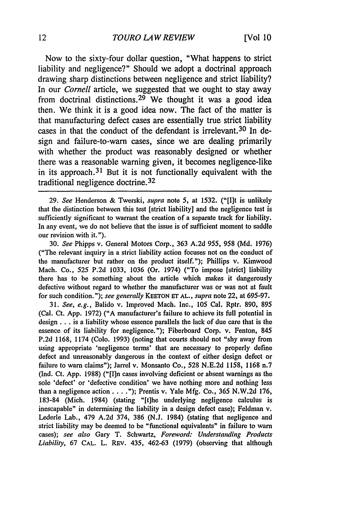Now to the sixty-four dollar question, "What happens to strict liability and negligence?" Should we adopt a doctrinal approach drawing sharp distinctions between negligence and strict liability? In our *Cornell* article, we suggested that we ought to stay away from doctrinal distinctions.<sup>29</sup> We thought it was a good idea then. We think it is a good idea now. The fact of the matter is that manufacturing defect cases are essentially true strict liability cases in that the conduct of the defendant is irrelevant. 30 In design and failure-to-warn cases, since we are dealing primarily with whether the product was reasonably designed or whether there was a reasonable warning given, it becomes negligence-like in its approach.<sup>31</sup> But it is not functionally equivalent with the traditional negligence doctrine. <sup>32</sup>

30. *See* Phipps v. General Motors Corp., 363 A.2d 955, 958 (Md. 1976) ("The relevant inquiry in a strict liability action focuses not on the conduct of the manufacturer but rather on the product itself."); Phillips v. Kimwood Mach. Co., *525* P.2d 1033, 1036 (Or. 1974) ("To impose [strict] liability there has to be something about the article which makes it dangerously defective without regard to whether the manufacturer was or was not at fault for such condition."); *see generally* KEETON ET AL., *supra* note 22, at 695-97.

31. *See, e.g.,* Balido v. Improved Mach. Inc., 105 Cal. Rptr. 890, 895 (Cal. Ct. App. 1972) ("A manufacturer's failure to achieve its full potential in design **...** is a liability whose essence parallels the lack of due care that is the essence of its liability for negligence."); Fiberboard Corp. v. Fenton, 845 P.2d 1168, 1174 (Colo. 1993) (noting that courts should not "shy away from using appropriate 'negligence terms' that are necessary to properly define defect and unreasonably dangerous in the context of either design defect or failure to warn claims"); Jarrel v. Monsanto Co., 528 N.E.2d 1158, 1168 n.7 (Ind. Ct. App. 1988) ("[I]n cases involving deficient or absent warnings as the sole 'defect' or 'defective condition' we have nothing more and nothing less than a negligence action.. . **.");** Prentis v. Yale Mfg. Co., 365 N.W.2d 176, 183-84 (Mich. 1984) (stating "It]he underlying negligence calculus is inescapable" in determining the liability in a design defect case); Feldman v. Lederle Lab., 479 A.2d 374, 386 (N.J. 1984) (stating that negligence and strict liability may be deemed to be "functional equivalents" in failure to warn cases); *see also* Gary T. Schwartz, *Foreword: Understanding Products Liability,* 67 **CAL.** L. REv. 435, 462-63 (1979) (observing that although

<sup>29.</sup> *See* Henderson & Twerski, *supra* note *5,* at 1532. ("[Ilt is unlikely that the distinction between this test [strict liability] and the negligence test is sufficiently significant to warrant the creation of a separate track for liability. In any event, we do not believe that the issue is of sufficient moment to saddle our revision with it.").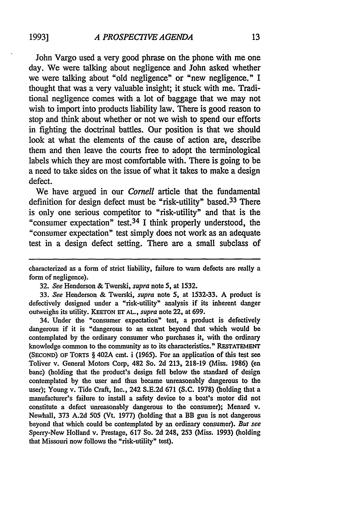John Vargo used a very good phrase on the phone with me one day. We were talking about negligence and John asked whether we were talking about "old negligence" or "new negligence." I thought that was a very valuable insight; it stuck with me. Traditional negligence comes with a lot of baggage that we may not wish to import into products liability law. There is good reason to stop and think about whether or not we wish to spend our efforts in fighting the doctrinal battles. Our position is that we should look at what the elements of the cause of action are, describe them and then leave the courts free to adopt the terminological labels which they are most comfortable with. There is going to be a need to take sides on the issue of what it takes to make a design defect.

We have argued in our *Cornell* article that the fundamental definition for design defect must be "risk-utility" based.<sup>33</sup> There is only one serious competitor to "risk-utility" and that is the "consumer expectation" test. 34 I think properly understood, the "consumer expectation" test simply does not work as an adequate test in a design defect setting. There are a small subclass of

33. *See* Henderson & Twerski, *supra* note 5, at 1532-33. A product is defectively designed under a "risk-utility" analysis if its inherent danger outweighs its utility. **KEETON Er AL.,** *supra* note 22, at 699.

34. Under the "consumer expectation" test, a product is defectively dangerous if it is "dangerous to an extent beyond that which would be contemplated by the ordinary consumer who purchases it, with the ordinary knowledge common to the community as to its characteristics." RESTATEMENT **(SEcoND) OF TORTS** § 402A cmt. i **(1965).** For an application of this test see Toliver v. General Motors Corp, 482 So. **2d 213, 218-19** (Miss. **1986)** (en bane) (holding that the product's design fell below the standard of design contemplated **by** the user and thus became unreasonably dangerous to the user); Young v. Tide Craft, Inc., 242 S.E.2d 671 **(S.C.** 1978) (holding that a manufacturer's failure to install a safety device to a boat's motor did not constitute a defect unreasonably dangerous to the consumer); Menard v. Newhall, 373 A.2d 505 (Vt. 1977) (holding that a BB gun is not dangerous beyond that which could be contemplated by an ordinary consumer). *But see* Sperry-New Holland v. Prestage, 617 So. 2d 248, **253** (Miss. 1993) (holding that Missouri now follows the "risk-utility" test).

characterized as a form of strict liability, failure to warn defects are really a form of negligence).

<sup>32.</sup> *See* Henderson & Twerski, *supra* note 5, at 1532.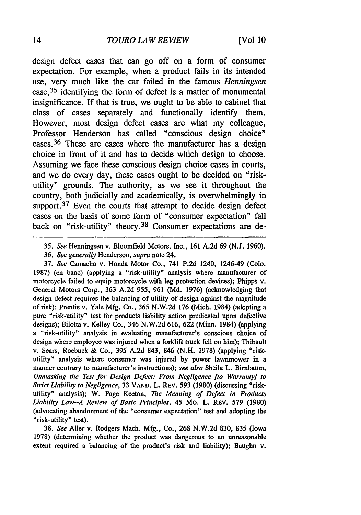design defect cases that can go off on a form of consumer expectation. For example, when a product fails in its intended use, very much like the car failed in the famous *Henningsen* case, 35 identifying the form of defect is a matter of monumental insignificance. If that is true, we ought to be able to cabinet that class of cases separately and functionally identify them. However, most design defect cases are what my colleague, Professor Henderson has called "conscious design choice" cases. 36 These are cases where the manufacturer has a design choice in front of it and has to decide which design to choose. Assuming we face these conscious design choice cases in courts, and we do every day, these cases ought to be decided on "riskutility" grounds. The authority, as we see it throughout the country, both judicially and academically, is overwhelmingly in support.<sup>37</sup> Even the courts that attempt to decide design defect cases on the basis of some form of "consumer expectation" fall back on "risk-utility" theory.<sup>38</sup> Consumer expectations are de-

37. See Camacho v. Honda Motor Co., 741 P.2d 1240, 1246-49 (Colo. **1987)** (en banc) (applying a "risk-utility" analysis where manufacturer of motorcycle failed to equip motorcycle with leg protection devices); Phipps v. General Motors Corp., 363 A.2d 955, 961 (Md. 1976) (acknowledging that design defect requires the balancing of utility of design against the magnitude of risk); Prentis v. Yale Mfg. Co., 365 N.W.2d 176 (Mich. 1984) (adopting a pure "risk-utility" test for products liability action predicated upon defective designs); Bilotta v. Kelley Co., 346 N.W.2d 616, 622 (Minn. 1984) (applying a "risk-utility" analysis in evaluating manufacturer's conscious choice of design where employee was injured when a forklift truck fell on him); Thibault v. Sears, Roebuck & Co., 395 A.2d 843, 846 (N.H. 1978) (applying "riskutility" analysis where consumer was injured by power lawnmower in a manner contrary to manufacturer's instructions); *see also* Sheila L. Birnbaum, *Unmasking the Test for Design Defect: From Negligence [to Warranty] to Strict Liability to Negligence,* 33 VAND. L. REv. 593 (1980) (discussing "riskutility" analysis); W. Page Keeton, *The Meaning of Defect in Products Liability Law-A Review of Basic Principles,* 45 Mo. L. REv. 579 (1980) (advocating abandonment of the "consumer expectation" test and adopting the "risk-utility" test).

38. *See* Aller v. Rodgers Mach. Mfg., Co., 268 N.W.2d 830, **835** (Iowa 1978) (determining whether the product was dangerous to an unreasonable extent required a balancing of the product's risk and liability); Baughn v.

*<sup>35.</sup> See* Henningsen v. Bloomfield Motors, Inc., 161 A.2d 69 (N.J. 1960). 36. *See generally* Henderson, *supra* note 24.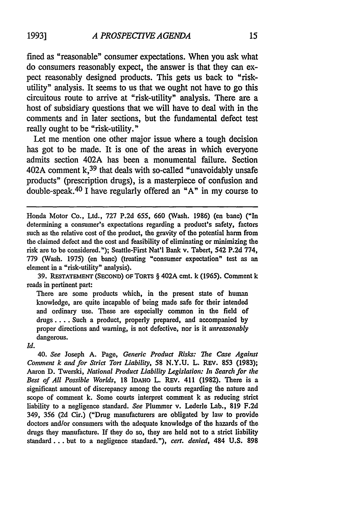fined as "reasonable" consumer expectations. When you ask what do consumers reasonably expect, the answer is that they can expect reasonably designed products. This gets us back to "riskutility" analysis. It seems to us that we ought not have to go this circuitous route to arrive at "risk-utility" analysis. There are a host of subsidiary questions that we will have to deal with in the comments and in later sections, but the fundamental defect test really ought to be "risk-utility."

Let me mention one other major issue where a tough decision has got to be made. It is one of the areas in which everyone admits section 402A has been a monumental failure. Section 402A comment **k,39** that deals with so-called "unavoidably unsafe products" (prescription drugs), is a masterpiece of confusion and double-speak. 40 I have regularly offered an **"A"** in my course to

39. **RESTATEMENT** (SECOND) OF TORTS § 402A cmt. k (1965). Comment k reads in pertinent part:

There are some products which, in the present state of **human** knowledge, are quite incapable of being made safe for their intended and ordinary use. These are especially common in the field of drugs .... Such a product, properly prepared, and accompanied by proper directions and warning, is not defective, nor is it *unreasonably* dangerous.

*Id.*

40. *See* Joseph A. Page, Generic *Product Risks: The Case Against Comment k and for Strict Tort Liability,* 58 N.Y.U. L. REv. **853** (1983); Aaron D. Twerski, *National Product Liability* Legislation: In Search for *the Best of All Possible Worlds,* 18 IDAHO L. REv. 411 (1982). There is a significant amount of discrepancy among the courts regarding the nature and scope of comment k. Some courts interpret comment k as reducing strict liability to a negligence standard. *See* Plummer v. Lederle Lab., **819** F.2d 349, 356 (2d Cir.) ("Drug manufacturers are obligated by law to provide doctors and/or consumers with the adequate knowledge of the hazards of the drugs they manufacture. If they do so, they are held not to a strict liability standard... but to a negligence standard."), *cert. denied,* 484 U.S. **898**

Honda Motor Co., Ltd., 727 P.2d 655, 660 (Wash. 1986) (en bane) ("In determining a consumer's expectations regarding a product's safety, factors such as the relative cost of the product, the gravity of the potential harm from the claimed defect and the cost and feasibility of eliminating or minimizing the risk are to be considered."); Seattle-First Nat'l Bank v. Tabert, 542 P.2d 774, 779 (Wash. 1975) (en banc) (treating "consumer expectation" test as an element in a "risk-utility" analysis).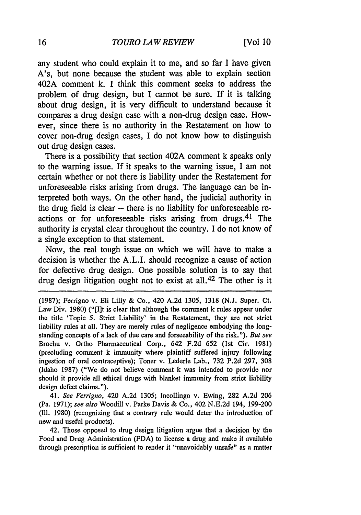any student who could explain it to me, and so far I have given A's, but none because the student was able to explain section 402A comment k. I think this comment seeks to address the problem of drug design, but I cannot be sure. If it is talking about drug design, it is very difficult to understand because it compares a drug design case with a non-drug design case. However, since there is no authority in the Restatement on how to cover non-drug design cases, I do not know how to distinguish out drug design cases.

There is a possibility that section 402A comment k speaks only to the warning issue. If it speaks to the warning issue, I am not certain whether or not there is liability under the Restatement for unforeseeable risks arising from drugs. The language can be interpreted both ways. On the other hand, the judicial authority in the drug field is clear -- there is no liability for unforeseeable reactions or for unforeseeable risks arising from drugs.<sup>41</sup> The authority is crystal clear throughout the country. I do not know of a single exception to that statement.

Now, the real tough issue on which we will have to make a decision is whether the A.L.I. should recognize a cause of action for defective drug design. One possible solution is to say that drug design litigation ought not to exist at all. 42 The other is it

(1987); Ferrigno v. Eli Lilly & Co., 420 A.2d 1305, 1318 (N.J. Super. Ct. Law Div. 1980) ("[I]t is clear that although the comment k rules appear under the title 'Topic 5. Strict Liability' in the Restatement, they are not strict liability rules at all. They are merely rules of negligence embodying the longstanding concepts of a lack of due care and forseeability of the risk."). But see Brochu v. Ortho Pharmaceutical Corp., 642 F.2d 652 (1st Cir. 1981) (precluding comment k immunity where plaintiff suffered injury following ingestion of oral contraceptive); Toner v. Lederle Lab., 732 P.2d 297, 308 (Idaho 1987) ("We do not believe comment k was intended to provide nor should it provide all ethical drugs with blanket immunity from strict liability design defect claims.").

41. See Ferrigno, 420 A.2d 1305; Incollingo v. Ewing, 282 A.2d 206 (Pa. 1971); see also Woodill v. Parke Davis & Co., 402 N.E.2d 194, 199-200 (Ill. 1980) (recognizing that a contrary rule would deter the introduction of new and useful products).

42. Those opposed to drug design litigation argue that a decision by the Food and Drug Administration (FDA) to license a drug and make it available through prescription is sufficient to render it "unavoidably unsafe" as a matter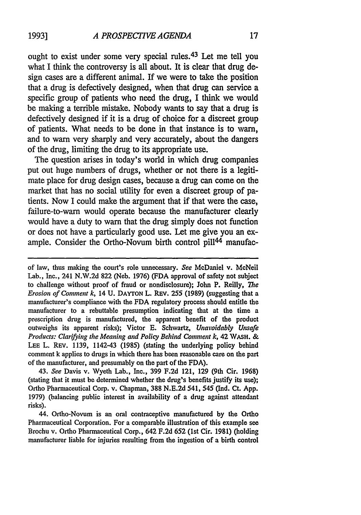ought to exist under some very special rules.<sup>43</sup> Let me tell you what I think the controversy is all about. It is clear that drug design cases are a different animal. If we were to take the position that a drug is defectively designed, when that drug can service a specific group of patients who need the drug, I think we would be making a terrible mistake. Nobody wants to say that a drug is defectively designed if it is a drug of choice for a discreet group of patients. What needs to be done in that instance is to warn, and to warn very sharply and very accurately, about the dangers of the drug, limiting the drug to its appropriate use.

The question arises in today's world in which drug companies put out huge numbers of drugs, whether or not there is a legitimate place for drug design cases, because a drug can come on the market that has no social utility for even a discreet group of patients. Now I could make the argument that if that were the case, failure-to-warn would operate because the manufacturer clearly would have a duty to warn that the drug simply does not function or does not have a particularly good use. Let me give you an example. Consider the Ortho-Novum birth control pill<sup>44</sup> manufac-

43. *See* Davis v. Wyeth Lab., Inc., **399 F.2d** 121, **129** (9th Cir. **1968)** (stating that it must be determined whether the drug's benefits justify its use); Ortho Pharmaceutical Corp. v. Chapman, 388 N.E.2d 541, 545 (Ind. Ct. **App.** 1979) (balancing public interest in availability of a drug against attendant risks).

44. Ortho-Novum is an oral contraceptive manufactured **by** the Ortho Pharmaceutical Corporation. For a comparable illustration of this example see Brochu v. Ortho Pharmaceutical Corp., 642 F.2d **652** (Ist Cir. 1981) (holding manufacturer liable for injuries resulting from the ingestion of a birth control

of law, thus making the court's role unnecessary. *See* McDaniel v. McNeil Lab., Inc., 241 N.W.2d 822 (Neb. 1976) (FDA approval of safety not subject to challenge without proof of fraud or nondisclosure); John P. Reilly, *The* Erosion of Comment k, 14 U. **DAYTON** L. **REv.** *255* **(1989)** (suggesting that a manufacturer's compliance with the FDA regulatory process should entitle the manufacturer to a rebuttable presumption indicating that at the time a prescription drug is manufactured, the apparent benefit of the product outweighs its apparent risks); Victor E. Schwartz, *Unavoidably Unsafe Products: Clarifying the Meaning and Policy Behind Comment k,* **42** WASH. **& LEE** L. REV. 1139, 1142-43 (1985) (stating the underlying policy behind comment k applies to drugs in which there has been reasonable care on the part of the manufacturer, and presumably on the part of the FDA).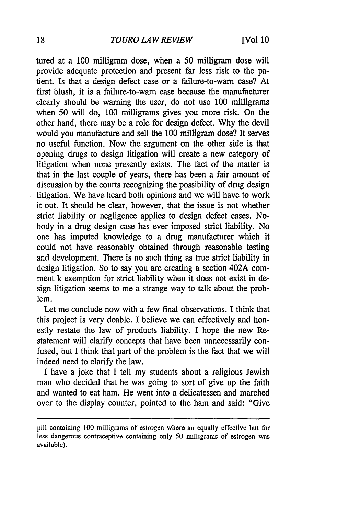### *TOURO LAW REVIEW*

tured at a 100 milligram dose, when a 50 milligram dose will provide adequate protection and present far less risk to the patient. Is that a design defect case or a failure-to-warn case? At first blush, it is a failure-to-warn case because the manufacturer clearly should be warning the user, do not use 100 milligrams when 50 will do, 100 milligrams gives you more risk. On the other hand, there may be a role for design defect. Why the devil would you manufacture and sell the 100 milligram dose? It serves no useful function. Now the argument on the other side is that opening drugs to design litigation will create a new category of litigation when none presently exists. The fact of the matter is that in the last couple of years, there has been a fair amount of discussion by the courts recognizing the possibility of drug design litigation. We have heard both opinions and we will have to work it out. It should be clear, however, that the issue is not whether strict liability or negligence applies to design defect cases. Nobody in a drug design case has ever imposed strict liability. No one has imputed knowledge to a drug manufacturer which it could not have reasonably obtained through reasonable testing and development. There is no such thing as true strict liability in design litigation. So to say you are creating a section 402A comment k exemption for strict liability when it does not exist in design litigation seems to me a strange way to talk about the problem.

Let me conclude now with a few final observations. I think that this project is very doable. I believe we can effectively and honestly restate the law of products liability. **I** hope the new Restatement will clarify concepts that have been unnecessarily confused, but I think that part of the problem is the fact that we will indeed need to clarify the law.

I have a joke that I tell my students about a religious Jewish man who decided that he was going to sort of give up the faith and wanted to eat ham. He went into a delicatessen and marched over to the display counter, pointed to the ham and said: "Give

pill containing 100 milligrams of estrogen where an equally effective but far less dangerous contraceptive containing only 50 milligrams of estrogen was available).